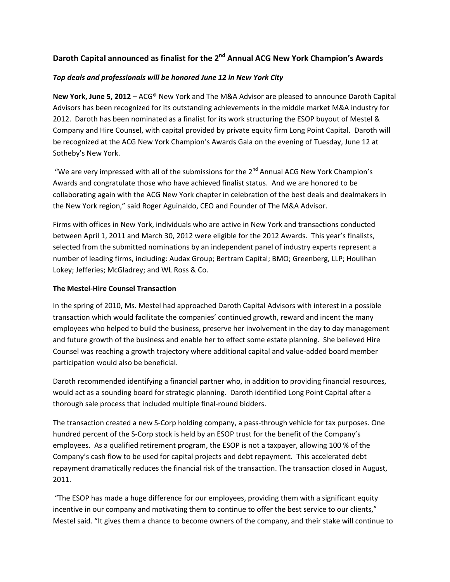# **Daroth Capital announced as finalist for the 2nd Annual ACG New York Champion's Awards**

### *Top deals and professionals will be honored June 12 in New York City*

**New York, June 5, 2012** – ACG® New York and The M&A Advisor are pleased to announce Daroth Capital Advisors has been recognized for its outstanding achievements in the middle market M&A industry for 2012. Daroth has been nominated as a finalist for its work structuring the ESOP buyout of Mestel & Company and Hire Counsel, with capital provided by private equity firm Long Point Capital. Daroth will be recognized at the ACG New York Champion's Awards Gala on the evening of Tuesday, June 12 at Sotheby's New York.

"We are very impressed with all of the submissions for the  $2^{nd}$  Annual ACG New York Champion's Awards and congratulate those who have achieved finalist status. And we are honored to be collaborating again with the ACG New York chapter in celebration of the best deals and dealmakers in the New York region," said Roger Aguinaldo, CEO and Founder of The M&A Advisor.

Firms with offices in New York, individuals who are active in New York and transactions conducted between April 1, 2011 and March 30, 2012 were eligible for the 2012 Awards. This year's finalists, selected from the submitted nominations by an independent panel of industry experts represent a number of leading firms, including: Audax Group; Bertram Capital; BMO; Greenberg, LLP; Houlihan Lokey; Jefferies; McGladrey; and WL Ross & Co.

#### **The Mestel‐Hire Counsel Transaction**

In the spring of 2010, Ms. Mestel had approached Daroth Capital Advisors with interest in a possible transaction which would facilitate the companies' continued growth, reward and incent the many employees who helped to build the business, preserve her involvement in the day to day management and future growth of the business and enable her to effect some estate planning. She believed Hire Counsel was reaching a growth trajectory where additional capital and value‐added board member participation would also be beneficial.

Daroth recommended identifying a financial partner who, in addition to providing financial resources, would act as a sounding board for strategic planning. Daroth identified Long Point Capital after a thorough sale process that included multiple final‐round bidders.

The transaction created a new S‐Corp holding company, a pass‐through vehicle for tax purposes. One hundred percent of the S-Corp stock is held by an ESOP trust for the benefit of the Company's employees. As a qualified retirement program, the ESOP is not a taxpayer, allowing 100 % of the Company's cash flow to be used for capital projects and debt repayment. This accelerated debt repayment dramatically reduces the financial risk of the transaction. The transaction closed in August, 2011.

"The ESOP has made a huge difference for our employees, providing them with a significant equity incentive in our company and motivating them to continue to offer the best service to our clients," Mestel said. "It gives them a chance to become owners of the company, and their stake will continue to